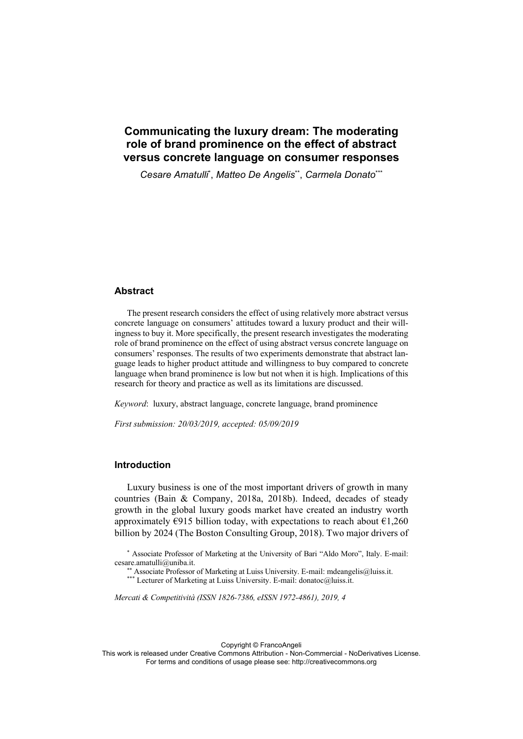# **Communicating the luxury dream: The moderating role of brand prominence on the effect of abstract versus concrete language on consumer responses**

*Cesare Amatulli*\* , *Matteo De Angelis*\*\*, *Carmela Donato*\*\*\*

### **Abstract**

The present research considers the effect of using relatively more abstract versus concrete language on consumers' attitudes toward a luxury product and their willingness to buy it. More specifically, the present research investigates the moderating role of brand prominence on the effect of using abstract versus concrete language on consumers' responses. The results of two experiments demonstrate that abstract language leads to higher product attitude and willingness to buy compared to concrete language when brand prominence is low but not when it is high. Implications of this research for theory and practice as well as its limitations are discussed.

*Keyword*: luxury, abstract language, concrete language, brand prominence

*First submission: 20/03/2019, accepted: 05/09/2019* 

### **Introduction**

Luxury business is one of the most important drivers of growth in many countries (Bain & Company, 2018a, 2018b). Indeed, decades of steady growth in the global luxury goods market have created an industry worth approximately  $E915$  billion today, with expectations to reach about  $E1,260$ billion by 2024 (The Boston Consulting Group, 2018). Two major drivers of

\* Associate Professor of Marketing at the University of Bari "Aldo Moro", Italy. E-mail: cesare.amatulli@uniba.it.<br>\*\* Associate Professor of Marketing at Luiss University. E-mail: mdeangelis@luiss.it.

\*\*\* Lecturer of Marketing at Luiss University. E-mail: donatoc@luiss.it.

*Mercati & Competitività (ISSN 1826-7386, eISSN 1972-4861), 2019, 4*

Copyright © FrancoAngeli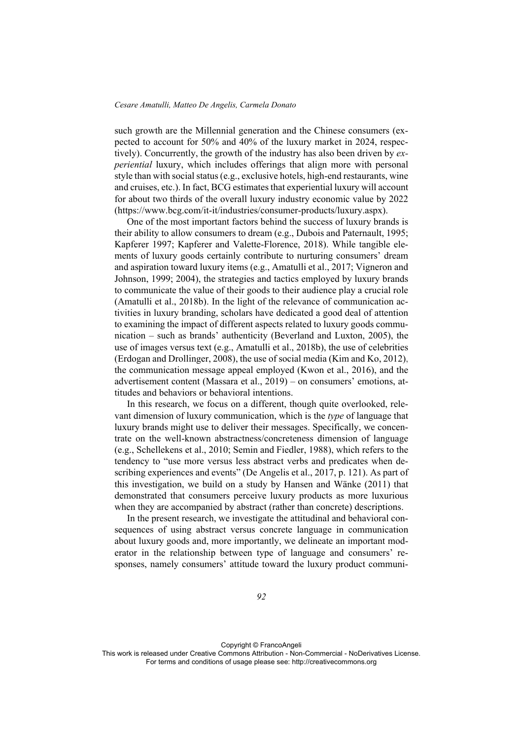such growth are the Millennial generation and the Chinese consumers (expected to account for 50% and 40% of the luxury market in 2024, respectively). Concurrently, the growth of the industry has also been driven by *experiential* luxury, which includes offerings that align more with personal style than with social status (e.g., exclusive hotels, high-end restaurants, wine and cruises, etc.). In fact, BCG estimates that experiential luxury will account for about two thirds of the overall luxury industry economic value by 2022 (https://www.bcg.com/it-it/industries/consumer-products/luxury.aspx).

One of the most important factors behind the success of luxury brands is their ability to allow consumers to dream (e.g., Dubois and Paternault, 1995; Kapferer 1997; Kapferer and Valette-Florence, 2018). While tangible elements of luxury goods certainly contribute to nurturing consumers' dream and aspiration toward luxury items (e.g., Amatulli et al., 2017; Vigneron and Johnson, 1999; 2004), the strategies and tactics employed by luxury brands to communicate the value of their goods to their audience play a crucial role (Amatulli et al., 2018b). In the light of the relevance of communication activities in luxury branding, scholars have dedicated a good deal of attention to examining the impact of different aspects related to luxury goods communication – such as brands' authenticity (Beverland and Luxton, 2005), the use of images versus text (e.g., Amatulli et al., 2018b), the use of celebrities (Erdogan and Drollinger, 2008), the use of social media (Kim and Ko, 2012), the communication message appeal employed (Kwon et al., 2016), and the advertisement content (Massara et al., 2019) – on consumers' emotions, attitudes and behaviors or behavioral intentions.

In this research, we focus on a different, though quite overlooked, relevant dimension of luxury communication, which is the *type* of language that luxury brands might use to deliver their messages. Specifically, we concentrate on the well-known abstractness/concreteness dimension of language (e.g., Schellekens et al., 2010; Semin and Fiedler, 1988), which refers to the tendency to "use more versus less abstract verbs and predicates when describing experiences and events" (De Angelis et al., 2017, p. 121). As part of this investigation, we build on a study by Hansen and Wänke (2011) that demonstrated that consumers perceive luxury products as more luxurious when they are accompanied by abstract (rather than concrete) descriptions.

In the present research, we investigate the attitudinal and behavioral consequences of using abstract versus concrete language in communication about luxury goods and, more importantly, we delineate an important moderator in the relationship between type of language and consumers' responses, namely consumers' attitude toward the luxury product communi-

Copyright © FrancoAngeli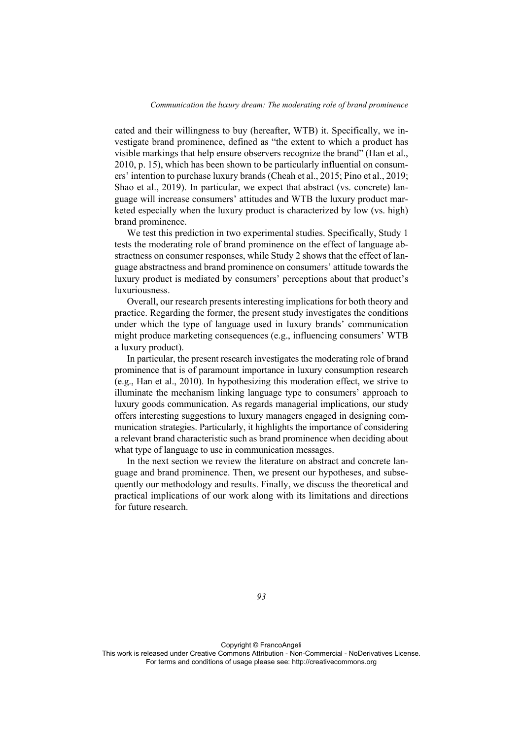cated and their willingness to buy (hereafter, WTB) it. Specifically, we investigate brand prominence, defined as "the extent to which a product has visible markings that help ensure observers recognize the brand" (Han et al., 2010, p. 15), which has been shown to be particularly influential on consumers' intention to purchase luxury brands (Cheah et al., 2015; Pino et al., 2019; Shao et al., 2019). In particular, we expect that abstract (vs. concrete) language will increase consumers' attitudes and WTB the luxury product marketed especially when the luxury product is characterized by low (vs. high) brand prominence.

We test this prediction in two experimental studies. Specifically, Study 1 tests the moderating role of brand prominence on the effect of language abstractness on consumer responses, while Study 2 shows that the effect of language abstractness and brand prominence on consumers' attitude towards the luxury product is mediated by consumers' perceptions about that product's luxuriousness.

Overall, our research presents interesting implications for both theory and practice. Regarding the former, the present study investigates the conditions under which the type of language used in luxury brands' communication might produce marketing consequences (e.g., influencing consumers' WTB a luxury product).

In particular, the present research investigates the moderating role of brand prominence that is of paramount importance in luxury consumption research (e.g., Han et al., 2010). In hypothesizing this moderation effect, we strive to illuminate the mechanism linking language type to consumers' approach to luxury goods communication. As regards managerial implications, our study offers interesting suggestions to luxury managers engaged in designing communication strategies. Particularly, it highlights the importance of considering a relevant brand characteristic such as brand prominence when deciding about what type of language to use in communication messages.

In the next section we review the literature on abstract and concrete language and brand prominence. Then, we present our hypotheses, and subsequently our methodology and results. Finally, we discuss the theoretical and practical implications of our work along with its limitations and directions for future research.

*93* 

Copyright © FrancoAngeli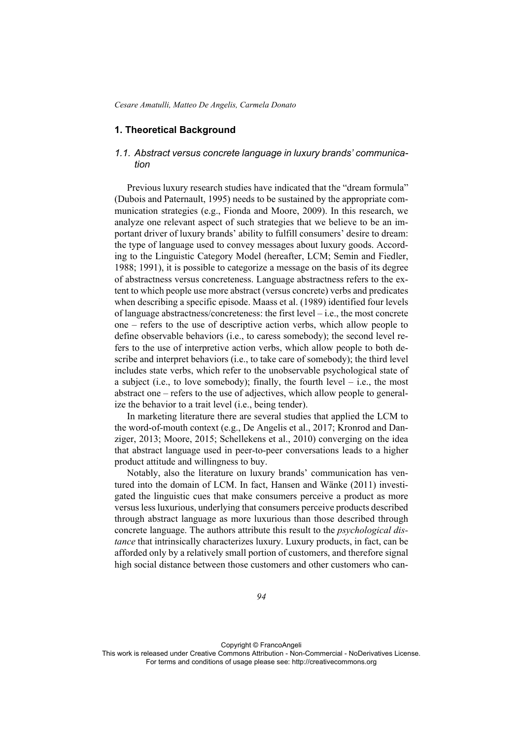## **1. Theoretical Background**

## *1.1. Abstract versus concrete language in luxury brands' communication*

Previous luxury research studies have indicated that the "dream formula" (Dubois and Paternault, 1995) needs to be sustained by the appropriate communication strategies (e.g., Fionda and Moore, 2009). In this research, we analyze one relevant aspect of such strategies that we believe to be an important driver of luxury brands' ability to fulfill consumers' desire to dream: the type of language used to convey messages about luxury goods. According to the Linguistic Category Model (hereafter, LCM; Semin and Fiedler, 1988; 1991), it is possible to categorize a message on the basis of its degree of abstractness versus concreteness. Language abstractness refers to the extent to which people use more abstract (versus concrete) verbs and predicates when describing a specific episode. Maass et al. (1989) identified four levels of language abstractness/concreteness: the first level – i.e., the most concrete one – refers to the use of descriptive action verbs, which allow people to define observable behaviors (i.e., to caress somebody); the second level refers to the use of interpretive action verbs, which allow people to both describe and interpret behaviors (i.e., to take care of somebody); the third level includes state verbs, which refer to the unobservable psychological state of a subject (i.e., to love somebody); finally, the fourth level  $-$  i.e., the most abstract one – refers to the use of adjectives, which allow people to generalize the behavior to a trait level (i.e., being tender).

In marketing literature there are several studies that applied the LCM to the word-of-mouth context (e.g., De Angelis et al., 2017; Kronrod and Danziger, 2013; Moore, 2015; Schellekens et al., 2010) converging on the idea that abstract language used in peer-to-peer conversations leads to a higher product attitude and willingness to buy.

Notably, also the literature on luxury brands' communication has ventured into the domain of LCM. In fact, Hansen and Wänke (2011) investigated the linguistic cues that make consumers perceive a product as more versus less luxurious, underlying that consumers perceive products described through abstract language as more luxurious than those described through concrete language. The authors attribute this result to the *psychological distance* that intrinsically characterizes luxury. Luxury products, in fact, can be afforded only by a relatively small portion of customers, and therefore signal high social distance between those customers and other customers who can-

Copyright © FrancoAngeli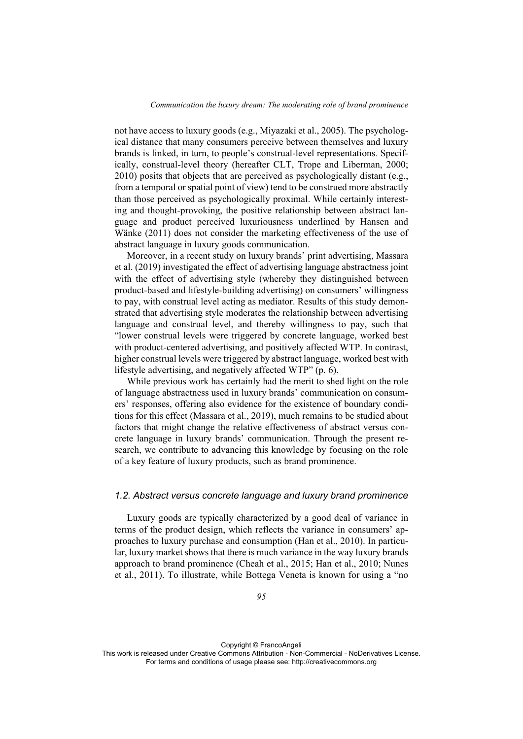not have access to luxury goods (e.g., Miyazaki et al., 2005). The psychological distance that many consumers perceive between themselves and luxury brands is linked, in turn, to people's construal-level representations. Specifically, construal-level theory (hereafter CLT, Trope and Liberman, 2000; 2010) posits that objects that are perceived as psychologically distant (e.g., from a temporal or spatial point of view) tend to be construed more abstractly than those perceived as psychologically proximal. While certainly interesting and thought-provoking, the positive relationship between abstract language and product perceived luxuriousness underlined by Hansen and Wänke (2011) does not consider the marketing effectiveness of the use of abstract language in luxury goods communication.

Moreover, in a recent study on luxury brands' print advertising, Massara et al. (2019) investigated the effect of advertising language abstractness joint with the effect of advertising style (whereby they distinguished between product-based and lifestyle-building advertising) on consumers' willingness to pay, with construal level acting as mediator. Results of this study demonstrated that advertising style moderates the relationship between advertising language and construal level, and thereby willingness to pay, such that "lower construal levels were triggered by concrete language, worked best with product-centered advertising, and positively affected WTP. In contrast, higher construal levels were triggered by abstract language, worked best with lifestyle advertising, and negatively affected WTP" (p. 6).

While previous work has certainly had the merit to shed light on the role of language abstractness used in luxury brands' communication on consumers' responses, offering also evidence for the existence of boundary conditions for this effect (Massara et al., 2019), much remains to be studied about factors that might change the relative effectiveness of abstract versus concrete language in luxury brands' communication. Through the present research, we contribute to advancing this knowledge by focusing on the role of a key feature of luxury products, such as brand prominence.

### *1.2. Abstract versus concrete language and luxury brand prominence*

Luxury goods are typically characterized by a good deal of variance in terms of the product design, which reflects the variance in consumers' approaches to luxury purchase and consumption (Han et al., 2010). In particular, luxury market shows that there is much variance in the way luxury brands approach to brand prominence (Cheah et al., 2015; Han et al., 2010; Nunes et al., 2011). To illustrate, while Bottega Veneta is known for using a "no

Copyright © FrancoAngeli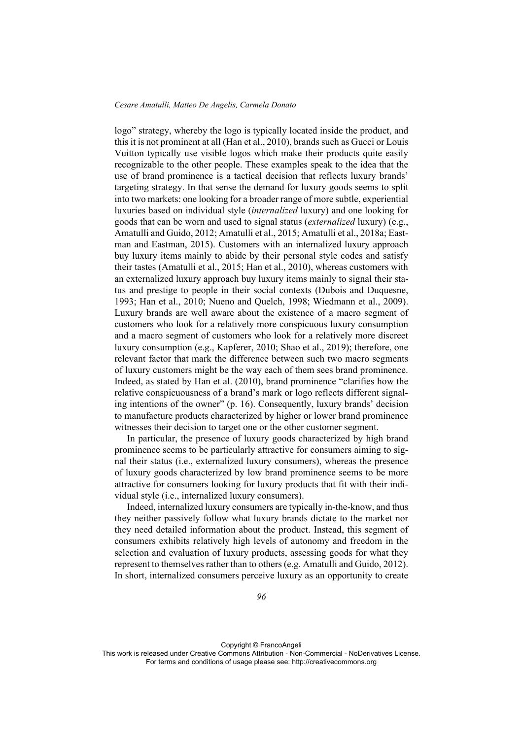logo" strategy, whereby the logo is typically located inside the product, and this it is not prominent at all (Han et al., 2010), brands such as Gucci or Louis Vuitton typically use visible logos which make their products quite easily recognizable to the other people. These examples speak to the idea that the use of brand prominence is a tactical decision that reflects luxury brands' targeting strategy. In that sense the demand for luxury goods seems to split into two markets: one looking for a broader range of more subtle, experiential luxuries based on individual style (*internalized* luxury) and one looking for goods that can be worn and used to signal status (*externalized* luxury) (e.g., Amatulli and Guido, 2012; Amatulli et al., 2015; Amatulli et al., 2018a; Eastman and Eastman, 2015). Customers with an internalized luxury approach buy luxury items mainly to abide by their personal style codes and satisfy their tastes (Amatulli et al., 2015; Han et al., 2010), whereas customers with an externalized luxury approach buy luxury items mainly to signal their status and prestige to people in their social contexts (Dubois and Duquesne, 1993; Han et al., 2010; Nueno and Quelch, 1998; Wiedmann et al., 2009). Luxury brands are well aware about the existence of a macro segment of customers who look for a relatively more conspicuous luxury consumption and a macro segment of customers who look for a relatively more discreet luxury consumption (e.g., Kapferer, 2010; Shao et al., 2019); therefore, one relevant factor that mark the difference between such two macro segments of luxury customers might be the way each of them sees brand prominence. Indeed, as stated by Han et al. (2010), brand prominence "clarifies how the relative conspicuousness of a brand's mark or logo reflects different signaling intentions of the owner" (p. 16). Consequently, luxury brands' decision to manufacture products characterized by higher or lower brand prominence witnesses their decision to target one or the other customer segment.

In particular, the presence of luxury goods characterized by high brand prominence seems to be particularly attractive for consumers aiming to signal their status (i.e., externalized luxury consumers), whereas the presence of luxury goods characterized by low brand prominence seems to be more attractive for consumers looking for luxury products that fit with their individual style (i.e., internalized luxury consumers).

Indeed, internalized luxury consumers are typically in-the-know, and thus they neither passively follow what luxury brands dictate to the market nor they need detailed information about the product. Instead, this segment of consumers exhibits relatively high levels of autonomy and freedom in the selection and evaluation of luxury products, assessing goods for what they represent to themselves rather than to others (e.g. Amatulli and Guido, 2012). In short, internalized consumers perceive luxury as an opportunity to create

Copyright © FrancoAngeli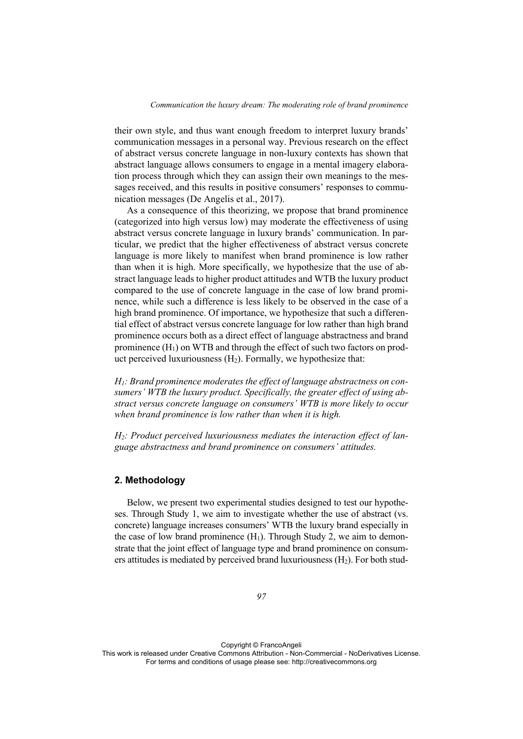their own style, and thus want enough freedom to interpret luxury brands' communication messages in a personal way. Previous research on the effect of abstract versus concrete language in non-luxury contexts has shown that abstract language allows consumers to engage in a mental imagery elaboration process through which they can assign their own meanings to the messages received, and this results in positive consumers' responses to communication messages (De Angelis et al., 2017).

As a consequence of this theorizing, we propose that brand prominence (categorized into high versus low) may moderate the effectiveness of using abstract versus concrete language in luxury brands' communication. In particular, we predict that the higher effectiveness of abstract versus concrete language is more likely to manifest when brand prominence is low rather than when it is high. More specifically, we hypothesize that the use of abstract language leads to higher product attitudes and WTB the luxury product compared to the use of concrete language in the case of low brand prominence, while such a difference is less likely to be observed in the case of a high brand prominence. Of importance, we hypothesize that such a differential effect of abstract versus concrete language for low rather than high brand prominence occurs both as a direct effect of language abstractness and brand prominence  $(H_1)$  on WTB and through the effect of such two factors on product perceived luxuriousness  $(H_2)$ . Formally, we hypothesize that:

*H1: Brand prominence moderates the effect of language abstractness on consumers' WTB the luxury product. Specifically, the greater effect of using abstract versus concrete language on consumers' WTB is more likely to occur when brand prominence is low rather than when it is high.* 

*H2: Product perceived luxuriousness mediates the interaction effect of language abstractness and brand prominence on consumers' attitudes.* 

### **2. Methodology**

Below, we present two experimental studies designed to test our hypotheses. Through Study 1, we aim to investigate whether the use of abstract (vs. concrete) language increases consumers' WTB the luxury brand especially in the case of low brand prominence  $(H_1)$ . Through Study 2, we aim to demonstrate that the joint effect of language type and brand prominence on consumers attitudes is mediated by perceived brand luxuriousness  $(H_2)$ . For both stud-

Copyright © FrancoAngeli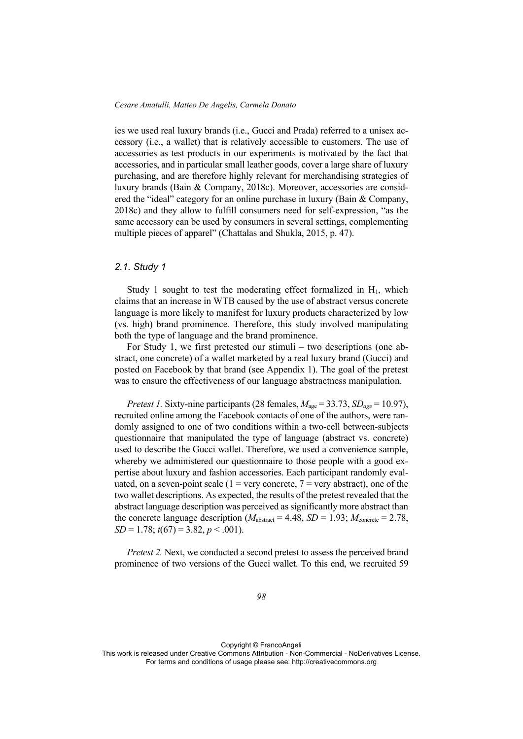ies we used real luxury brands (i.e., Gucci and Prada) referred to a unisex accessory (i.e., a wallet) that is relatively accessible to customers. The use of accessories as test products in our experiments is motivated by the fact that accessories, and in particular small leather goods, cover a large share of luxury purchasing, and are therefore highly relevant for merchandising strategies of luxury brands (Bain & Company, 2018c). Moreover, accessories are considered the "ideal" category for an online purchase in luxury (Bain & Company, 2018c) and they allow to fulfill consumers need for self-expression, "as the same accessory can be used by consumers in several settings, complementing multiple pieces of apparel" (Chattalas and Shukla, 2015, p. 47).

## *2.1. Study 1*

Study 1 sought to test the moderating effect formalized in  $H_1$ , which claims that an increase in WTB caused by the use of abstract versus concrete language is more likely to manifest for luxury products characterized by low (vs. high) brand prominence. Therefore, this study involved manipulating both the type of language and the brand prominence.

For Study 1, we first pretested our stimuli – two descriptions (one abstract, one concrete) of a wallet marketed by a real luxury brand (Gucci) and posted on Facebook by that brand (see Appendix 1). The goal of the pretest was to ensure the effectiveness of our language abstractness manipulation.

*Pretest 1.* Sixty-nine participants (28 females, *M*age = 33.73, *SDage* = 10.97), recruited online among the Facebook contacts of one of the authors, were randomly assigned to one of two conditions within a two-cell between-subjects questionnaire that manipulated the type of language (abstract vs. concrete) used to describe the Gucci wallet. Therefore, we used a convenience sample, whereby we administered our questionnaire to those people with a good expertise about luxury and fashion accessories. Each participant randomly evaluated, on a seven-point scale (1 = very concrete,  $7$  = very abstract), one of the two wallet descriptions. As expected, the results of the pretest revealed that the abstract language description was perceived as significantly more abstract than the concrete language description ( $M_{\text{abstract}} = 4.48$ ,  $SD = 1.93$ ;  $M_{\text{concrete}} = 2.78$ , *SD* = 1.78; *t*(67) = 3.82, *p* < .001).

*Pretest 2.* Next, we conducted a second pretest to assess the perceived brand prominence of two versions of the Gucci wallet. To this end, we recruited 59

Copyright © FrancoAngeli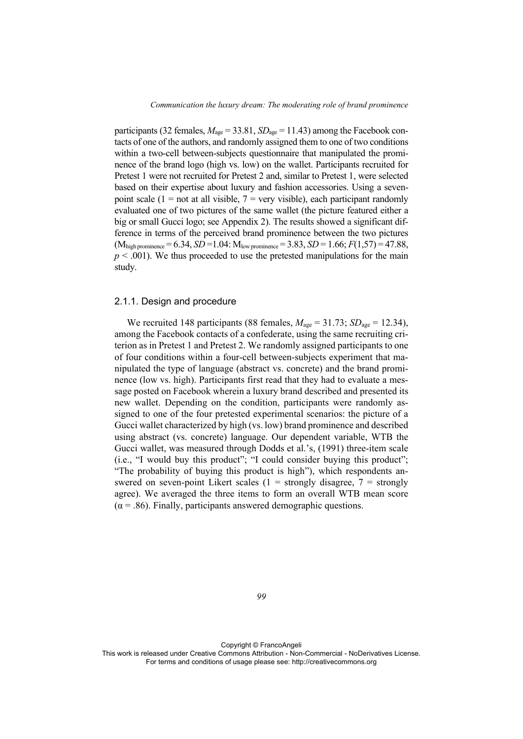participants (32 females,  $M_{\text{age}} = 33.81$ ,  $SD_{\text{age}} = 11.43$ ) among the Facebook contacts of one of the authors, and randomly assigned them to one of two conditions within a two-cell between-subjects questionnaire that manipulated the prominence of the brand logo (high vs. low) on the wallet. Participants recruited for Pretest 1 were not recruited for Pretest 2 and, similar to Pretest 1, were selected based on their expertise about luxury and fashion accessories. Using a sevenpoint scale (1 = not at all visible,  $7$  = very visible), each participant randomly evaluated one of two pictures of the same wallet (the picture featured either a big or small Gucci logo; see Appendix 2). The results showed a significant difference in terms of the perceived brand prominence between the two pictures  $(M_{\text{high prominence}} = 6.34, SD = 1.04$ :  $M_{\text{low prominence}} = 3.83, SD = 1.66$ ;  $F(1,57) = 47.88$ ,  $p < .001$ ). We thus proceeded to use the pretested manipulations for the main study.

### 2.1.1. Design and procedure

We recruited 148 participants (88 females,  $M_{\text{age}} = 31.73$ ;  $SD_{\text{age}} = 12.34$ ), among the Facebook contacts of a confederate, using the same recruiting criterion as in Pretest 1 and Pretest 2. We randomly assigned participants to one of four conditions within a four-cell between-subjects experiment that manipulated the type of language (abstract vs. concrete) and the brand prominence (low vs. high). Participants first read that they had to evaluate a message posted on Facebook wherein a luxury brand described and presented its new wallet. Depending on the condition, participants were randomly assigned to one of the four pretested experimental scenarios: the picture of a Gucci wallet characterized by high (vs. low) brand prominence and described using abstract (vs. concrete) language. Our dependent variable, WTB the Gucci wallet, was measured through Dodds et al.'s, (1991) three-item scale (i.e., "I would buy this product"; "I could consider buying this product"; "The probability of buying this product is high"), which respondents answered on seven-point Likert scales  $(1 =$  strongly disagree,  $7 =$  strongly agree). We averaged the three items to form an overall WTB mean score  $(\alpha = .86)$ . Finally, participants answered demographic questions.

*99* 

Copyright © FrancoAngeli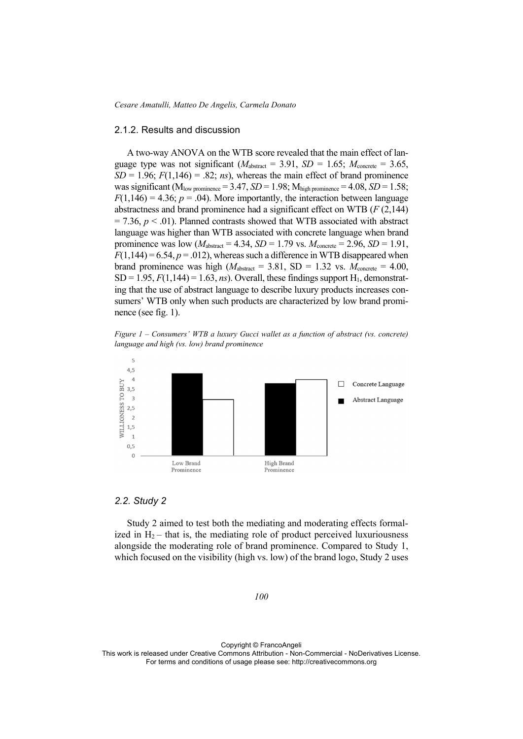*Cesare Amatulli, Matteo De Angelis, Carmela Donato* 

### 2.1.2. Results and discussion

A two-way ANOVA on the WTB score revealed that the main effect of language type was not significant ( $M_{\text{abstract}} = 3.91$ ,  $SD = 1.65$ ;  $M_{\text{concrete}} = 3.65$ .  $SD = 1.96$ ;  $F(1,146) = .82$ ; *ns*), whereas the main effect of brand prominence was significant ( $M_{low\,prominence}$  = 3.47, *SD* = 1.98;  $M_{high\,prominence}$  = 4.08, *SD* = 1.58;  $F(1,146) = 4.36$ ;  $p = .04$ ). More importantly, the interaction between language abstractness and brand prominence had a significant effect on WTB (*F* (2,144)  $= 7.36$ ,  $p < .01$ ). Planned contrasts showed that WTB associated with abstract language was higher than WTB associated with concrete language when brand prominence was low  $(M<sub>abstract</sub> = 4.34, SD = 1.79$  vs.  $M<sub>concrete</sub> = 2.96, SD = 1.91$ ,  $F(1,144) = 6.54, p = .012$ , whereas such a difference in WTB disappeared when brand prominence was high  $(M_{\text{abstract}} = 3.81, SD = 1.32 \text{ vs. } M_{\text{concrete}} = 4.00,$  $SD = 1.95, F(1,144) = 1.63, ns$ . Overall, these findings support H<sub>1</sub>, demonstrating that the use of abstract language to describe luxury products increases consumers' WTB only when such products are characterized by low brand prominence (see fig. 1).

*Figure 1 – Consumers' WTB a luxury Gucci wallet as a function of abstract (vs. concrete) language and high (vs. low) brand prominence* 



#### *2.2. Study 2*

Study 2 aimed to test both the mediating and moderating effects formalized in  $H_2$  – that is, the mediating role of product perceived luxuriousness alongside the moderating role of brand prominence. Compared to Study 1, which focused on the visibility (high vs. low) of the brand logo, Study 2 uses

#### *100*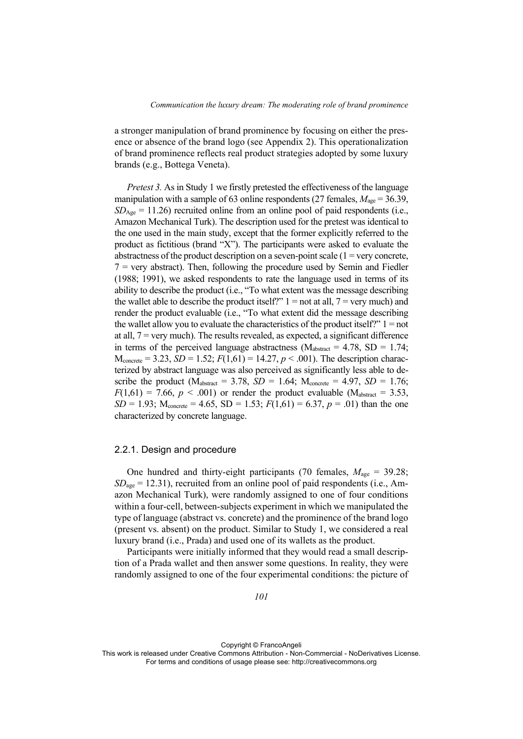a stronger manipulation of brand prominence by focusing on either the presence or absence of the brand logo (see Appendix 2). This operationalization of brand prominence reflects real product strategies adopted by some luxury brands (e.g., Bottega Veneta).

*Pretest 3.* As in Study 1 we firstly pretested the effectiveness of the language manipulation with a sample of 63 online respondents (27 females,  $M_{\text{age}} = 36.39$ ,  $SD<sub>Age</sub> = 11.26$ ) recruited online from an online pool of paid respondents (i.e., Amazon Mechanical Turk). The description used for the pretest was identical to the one used in the main study, except that the former explicitly referred to the product as fictitious (brand "X"). The participants were asked to evaluate the abstractness of the product description on a seven-point scale  $(1 = \text{very concrete},$  $7$  = very abstract). Then, following the procedure used by Semin and Fiedler (1988; 1991), we asked respondents to rate the language used in terms of its ability to describe the product (i.e., "To what extent was the message describing the wallet able to describe the product itself?"  $1 =$  not at all,  $7 =$  very much) and render the product evaluable (i.e., "To what extent did the message describing the wallet allow you to evaluate the characteristics of the product itself?"  $1 =$  not at all,  $7$  = very much). The results revealed, as expected, a significant difference in terms of the perceived language abstractness ( $M_{\text{abstract}} = 4.78$ , SD = 1.74;  $M_{\text{concrete}} = 3.23$ ,  $SD = 1.52$ ;  $F(1,61) = 14.27$ ,  $p < .001$ ). The description characterized by abstract language was also perceived as significantly less able to describe the product ( $M_{abstract} = 3.78$ ,  $SD = 1.64$ ;  $M_{concrete} = 4.97$ ,  $SD = 1.76$ ;  $F(1,61) = 7.66$ ,  $p < .001$ ) or render the product evaluable (M<sub>abstract</sub> = 3.53, *SD* = 1.93;  $M_{\text{concrete}}$  = 4.65, *SD* = 1.53;  $F(1,61)$  = 6.37,  $p = .01$ ) than the one characterized by concrete language.

### 2.2.1. Design and procedure

One hundred and thirty-eight participants (70 females,  $M_{\text{age}} = 39.28$ ; *SD*<sub>age</sub> = 12.31), recruited from an online pool of paid respondents (i.e., Amazon Mechanical Turk), were randomly assigned to one of four conditions within a four-cell, between-subjects experiment in which we manipulated the type of language (abstract vs. concrete) and the prominence of the brand logo (present vs. absent) on the product. Similar to Study 1, we considered a real luxury brand (i.e., Prada) and used one of its wallets as the product.

Participants were initially informed that they would read a small description of a Prada wallet and then answer some questions. In reality, they were randomly assigned to one of the four experimental conditions: the picture of

Copyright © FrancoAngeli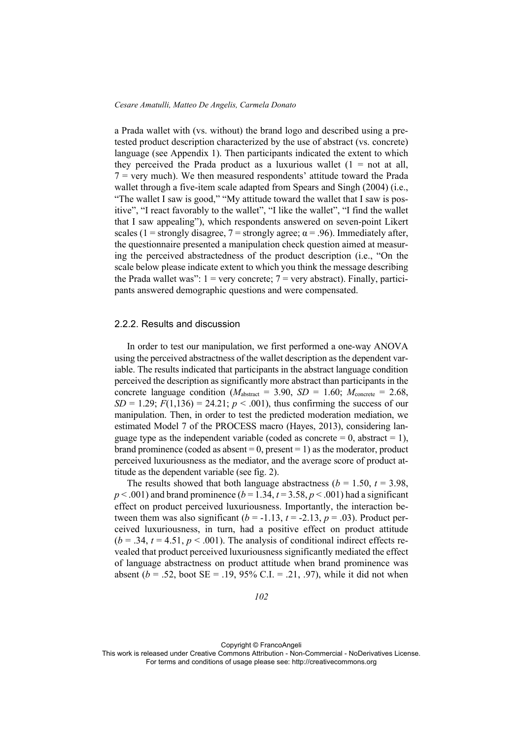a Prada wallet with (vs. without) the brand logo and described using a pretested product description characterized by the use of abstract (vs. concrete) language (see Appendix 1). Then participants indicated the extent to which they perceived the Prada product as a luxurious wallet  $(1 = not at all,$  $7$  = very much). We then measured respondents' attitude toward the Prada wallet through a five-item scale adapted from Spears and Singh (2004) (i.e., "The wallet I saw is good," "My attitude toward the wallet that I saw is positive", "I react favorably to the wallet", "I like the wallet", "I find the wallet that I saw appealing"), which respondents answered on seven-point Likert scales (1 = strongly disagree, 7 = strongly agree;  $\alpha$  = .96). Immediately after, the questionnaire presented a manipulation check question aimed at measuring the perceived abstractedness of the product description (i.e., "On the scale below please indicate extent to which you think the message describing the Prada wallet was":  $1 = \text{very concrete}; 7 = \text{very abstract}$ . Finally, participants answered demographic questions and were compensated.

### 2.2.2. Results and discussion

In order to test our manipulation, we first performed a one-way ANOVA using the perceived abstractness of the wallet description as the dependent variable. The results indicated that participants in the abstract language condition perceived the description as significantly more abstract than participants in the concrete language condition ( $M_{\text{abstract}} = 3.90$ ,  $SD = 1.60$ ;  $M_{\text{concrete}} = 2.68$ , *SD* = 1.29;  $F(1,136) = 24.21$ ;  $p < .001$ ), thus confirming the success of our manipulation. Then, in order to test the predicted moderation mediation, we estimated Model 7 of the PROCESS macro (Hayes, 2013), considering language type as the independent variable (coded as concrete  $= 0$ , abstract  $= 1$ ), brand prominence (coded as absent  $= 0$ , present  $= 1$ ) as the moderator, product perceived luxuriousness as the mediator, and the average score of product attitude as the dependent variable (see fig. 2).

The results showed that both language abstractness ( $b = 1.50$ ,  $t = 3.98$ ,  $p < .001$ ) and brand prominence ( $b = 1.34$ ,  $t = 3.58$ ,  $p < .001$ ) had a significant effect on product perceived luxuriousness. Importantly, the interaction between them was also significant  $(b = -1.13, t = -2.13, p = .03)$ . Product perceived luxuriousness, in turn, had a positive effect on product attitude  $(b = .34, t = 4.51, p < .001)$ . The analysis of conditional indirect effects revealed that product perceived luxuriousness significantly mediated the effect of language abstractness on product attitude when brand prominence was absent ( $b = .52$ , boot SE = .19, 95% C.I. = .21, .97), while it did not when

Copyright © FrancoAngeli

This work is released under Creative Commons Attribution - Non-Commercial - NoDerivatives License. For terms and conditions of usage please see: http://creativecommons.org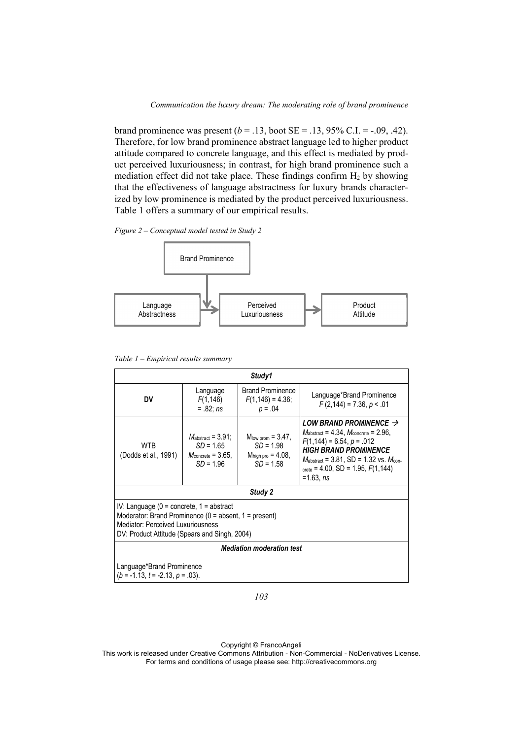brand prominence was present  $(b = .13, \text{boot} \text{ SE} = .13, 95\% \text{ C} \cdot \text{I} = -.09, .42)$ . Therefore, for low brand prominence abstract language led to higher product attitude compared to concrete language, and this effect is mediated by product perceived luxuriousness; in contrast, for high brand prominence such a mediation effect did not take place. These findings confirm  $H_2$  by showing that the effectiveness of language abstractness for luxury brands characterized by low prominence is mediated by the product perceived luxuriousness. Table 1 offers a summary of our empirical results.

*Figure 2 – Conceptual model tested in Study 2* 



*Table 1 – Empirical results summary* 

| Study1                                                                                                                                                                                           |                                                                                               |                                                                                      |                                                                                                                                                                                                                                                                                                       |
|--------------------------------------------------------------------------------------------------------------------------------------------------------------------------------------------------|-----------------------------------------------------------------------------------------------|--------------------------------------------------------------------------------------|-------------------------------------------------------------------------------------------------------------------------------------------------------------------------------------------------------------------------------------------------------------------------------------------------------|
| DV                                                                                                                                                                                               | Language<br>F(1, 146)<br>$=.82; ns$                                                           | <b>Brand Prominence</b><br>$F(1, 146) = 4.36;$<br>$p = .04$                          | Language*Brand Prominence<br>$F(2,144) = 7.36, p < .01$                                                                                                                                                                                                                                               |
| WTR<br>(Dodds et al., 1991)                                                                                                                                                                      | $M_{\text{abstract}} = 3.91$ :<br>$SD = 1.65$<br>$M_{\text{concrete}}$ = 3.65,<br>$SD = 1.96$ | $M_{\text{low prom}} = 3.47$ ,<br>$SD = 1.98$<br>$Mhigh pro = 4.08$ ,<br>$SD = 1.58$ | LOW BRAND PROMINENCE $\rightarrow$<br>$M_{\text{abstract}} = 4.34$ , $M_{\text{concrete}} = 2.96$ ,<br>$F(1,144) = 6.54, p = .012$<br><b>HIGH BRAND PROMINENCE</b><br>$M_{\text{abstract}} = 3.81$ , SD = 1.32 vs. $M_{\text{con}}$<br>$_{\text{crete}}$ = 4.00, SD = 1.95, $F(1,144)$<br>$=1.63, ns$ |
| Study 2                                                                                                                                                                                          |                                                                                               |                                                                                      |                                                                                                                                                                                                                                                                                                       |
| IV: Language ( $0 =$ concrete, $1 =$ abstract<br>Moderator: Brand Prominence $(0 =$ absent, $1 =$ present)<br>Mediator: Perceived Luxuriousness<br>DV: Product Attitude (Spears and Singh, 2004) |                                                                                               |                                                                                      |                                                                                                                                                                                                                                                                                                       |
| <b>Mediation moderation test</b>                                                                                                                                                                 |                                                                                               |                                                                                      |                                                                                                                                                                                                                                                                                                       |
| Language*Brand Prominence<br>$(b = -1.13, t = -2.13, p = .03)$ .                                                                                                                                 |                                                                                               |                                                                                      |                                                                                                                                                                                                                                                                                                       |

*103* 

Copyright © FrancoAngeli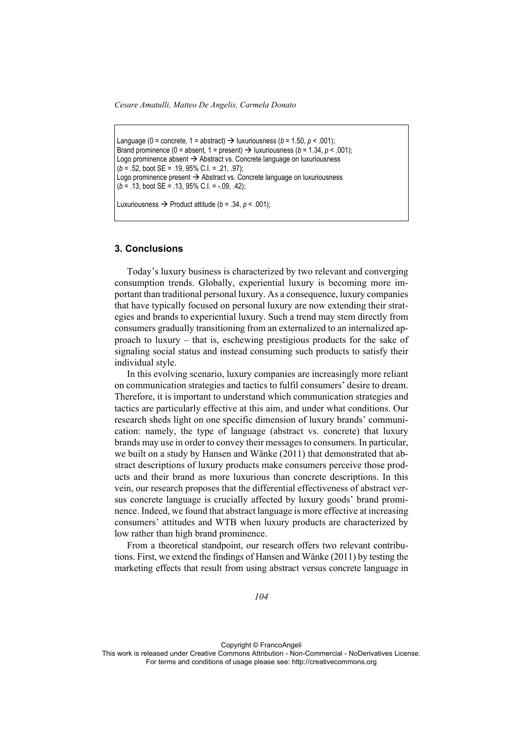*Cesare Amatulli, Matteo De Angelis, Carmela Donato* 

```
Language (0 = concrete, 1 = abstract) \rightarrow luxuriousness (b = 1.50, p < .001);
Brand prominence (0 = absent, 1 = present) \rightarrow luxuriousness (b = 1.34, p < .001);
Logo prominence absent \rightarrow Abstract vs. Concrete language on luxuriousness
(b = .52, boot SE = .19, 95% C.I. = .21, .97); 
Logo prominence present \rightarrow Abstract vs. Concrete language on luxuriousness
(b = .13, boot SE = .13, 95% C.I. = -.09, .42);
```
Luxuriousness  $\rightarrow$  Product attitude ( $b = .34$ ,  $p < .001$ );

### **3. Conclusions**

Today's luxury business is characterized by two relevant and converging consumption trends. Globally, experiential luxury is becoming more important than traditional personal luxury. As a consequence, luxury companies that have typically focused on personal luxury are now extending their strategies and brands to experiential luxury. Such a trend may stem directly from consumers gradually transitioning from an externalized to an internalized approach to luxury – that is, eschewing prestigious products for the sake of signaling social status and instead consuming such products to satisfy their individual style.

In this evolving scenario, luxury companies are increasingly more reliant on communication strategies and tactics to fulfil consumers' desire to dream. Therefore, it is important to understand which communication strategies and tactics are particularly effective at this aim, and under what conditions. Our research sheds light on one specific dimension of luxury brands' communication: namely, the type of language (abstract vs. concrete) that luxury brands may use in order to convey their messages to consumers. In particular, we built on a study by Hansen and Wänke (2011) that demonstrated that abstract descriptions of luxury products make consumers perceive those products and their brand as more luxurious than concrete descriptions. In this vein, our research proposes that the differential effectiveness of abstract versus concrete language is crucially affected by luxury goods' brand prominence. Indeed, we found that abstract language is more effective at increasing consumers' attitudes and WTB when luxury products are characterized by low rather than high brand prominence.

From a theoretical standpoint, our research offers two relevant contributions. First, we extend the findings of Hansen and Wänke (2011) by testing the marketing effects that result from using abstract versus concrete language in

*104* 

Copyright © FrancoAngeli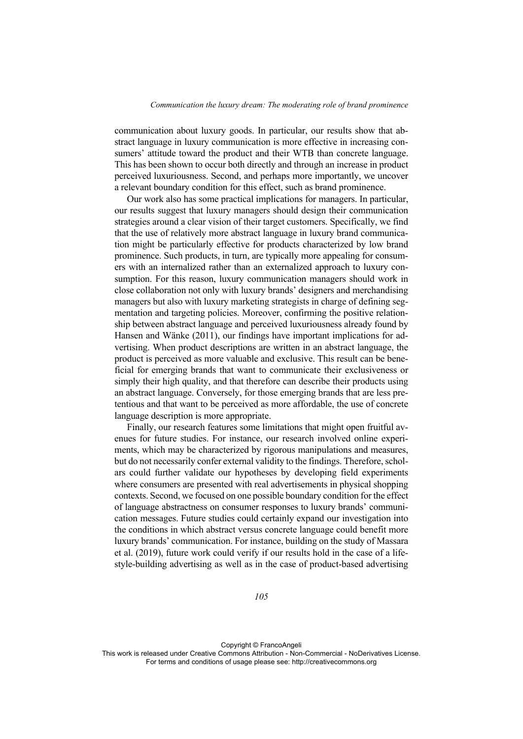communication about luxury goods. In particular, our results show that abstract language in luxury communication is more effective in increasing consumers' attitude toward the product and their WTB than concrete language. This has been shown to occur both directly and through an increase in product perceived luxuriousness. Second, and perhaps more importantly, we uncover a relevant boundary condition for this effect, such as brand prominence.

Our work also has some practical implications for managers. In particular, our results suggest that luxury managers should design their communication strategies around a clear vision of their target customers. Specifically, we find that the use of relatively more abstract language in luxury brand communication might be particularly effective for products characterized by low brand prominence. Such products, in turn, are typically more appealing for consumers with an internalized rather than an externalized approach to luxury consumption. For this reason, luxury communication managers should work in close collaboration not only with luxury brands' designers and merchandising managers but also with luxury marketing strategists in charge of defining segmentation and targeting policies. Moreover, confirming the positive relationship between abstract language and perceived luxuriousness already found by Hansen and Wänke (2011), our findings have important implications for advertising. When product descriptions are written in an abstract language, the product is perceived as more valuable and exclusive. This result can be beneficial for emerging brands that want to communicate their exclusiveness or simply their high quality, and that therefore can describe their products using an abstract language. Conversely, for those emerging brands that are less pretentious and that want to be perceived as more affordable, the use of concrete language description is more appropriate.

Finally, our research features some limitations that might open fruitful avenues for future studies. For instance, our research involved online experiments, which may be characterized by rigorous manipulations and measures, but do not necessarily confer external validity to the findings. Therefore, scholars could further validate our hypotheses by developing field experiments where consumers are presented with real advertisements in physical shopping contexts. Second, we focused on one possible boundary condition for the effect of language abstractness on consumer responses to luxury brands' communication messages. Future studies could certainly expand our investigation into the conditions in which abstract versus concrete language could benefit more luxury brands' communication. For instance, building on the study of Massara et al. (2019), future work could verify if our results hold in the case of a lifestyle-building advertising as well as in the case of product-based advertising

*105* 

Copyright © FrancoAngeli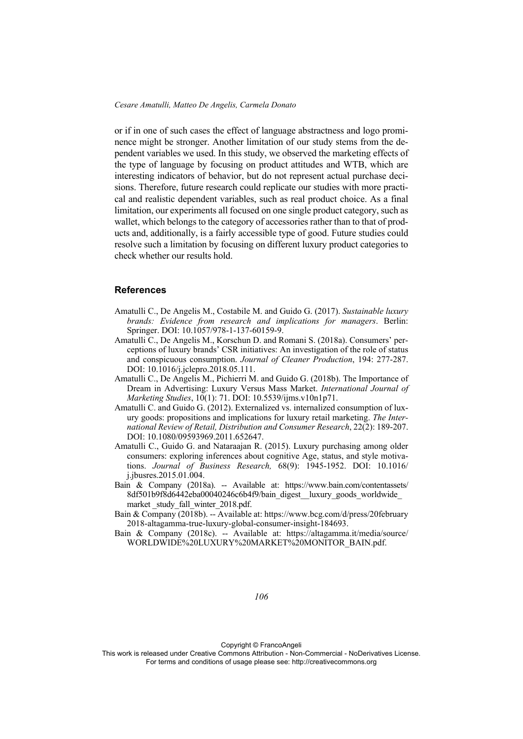or if in one of such cases the effect of language abstractness and logo prominence might be stronger. Another limitation of our study stems from the dependent variables we used. In this study, we observed the marketing effects of the type of language by focusing on product attitudes and WTB, which are interesting indicators of behavior, but do not represent actual purchase decisions. Therefore, future research could replicate our studies with more practical and realistic dependent variables, such as real product choice. As a final limitation, our experiments all focused on one single product category, such as wallet, which belongs to the category of accessories rather than to that of products and, additionally, is a fairly accessible type of good. Future studies could resolve such a limitation by focusing on different luxury product categories to check whether our results hold.

#### **References**

- Amatulli C., De Angelis M., Costabile M. and Guido G. (2017). *Sustainable luxury brands: Evidence from research and implications for managers*. Berlin: Springer. DOI: 10.1057/978-1-137-60159-9.
- Amatulli C., De Angelis M., Korschun D. and Romani S. (2018a). Consumers' perceptions of luxury brands' CSR initiatives: An investigation of the role of status and conspicuous consumption. *Journal of Cleaner Production*, 194: 277-287. DOI: 10.1016/j.jclepro.2018.05.111.
- Amatulli C., De Angelis M., Pichierri M. and Guido G. (2018b). The Importance of Dream in Advertising: Luxury Versus Mass Market. *International Journal of Marketing Studies*, 10(1): 71. DOI: 10.5539/ijms.v10n1p71.
- Amatulli C. and Guido G. (2012). Externalized vs. internalized consumption of luxury goods: propositions and implications for luxury retail marketing. *The International Review of Retail, Distribution and Consumer Research*, 22(2): 189-207. DOI: 10.1080/09593969.2011.652647.
- Amatulli C., Guido G. and Nataraajan R. (2015). Luxury purchasing among older consumers: exploring inferences about cognitive Age, status, and style motivations. *Journal of Business Research,* 68(9): 1945-1952. DOI: 10.1016/ j.jbusres.2015.01.004.
- Bain & Company (2018a). -- Available at: https://www.bain.com/contentassets/ 8df501b9f8d6442eba00040246c6b4f9/bain\_digest\_\_luxury\_goods\_worldwide\_ market study fall winter 2018.pdf.
- Bain & Company (2018b). -- Available at: https://www.bcg.com/d/press/20february 2018-altagamma-true-luxury-global-consumer-insight-184693.
- Bain & Company (2018c). -- Available at: https://altagamma.it/media/source/ WORLDWIDE%20LUXURY%20MARKET%20MONITOR\_BAIN.pdf.

*106* 

Copyright © FrancoAngeli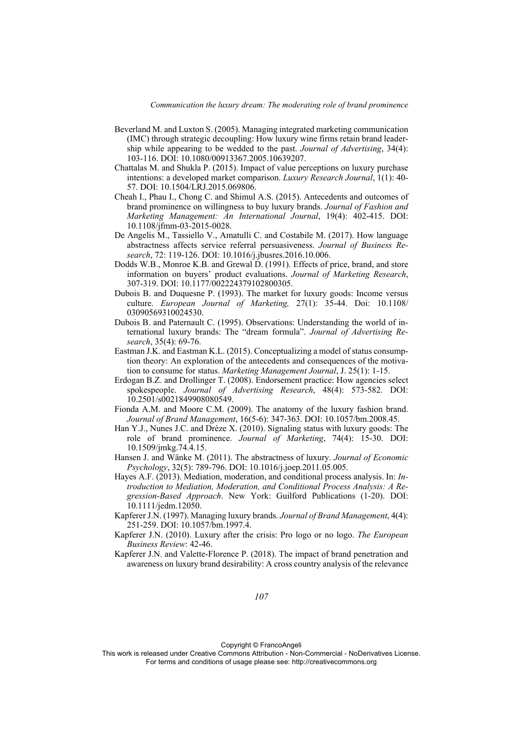- Beverland M. and Luxton S. (2005). Managing integrated marketing communication (IMC) through strategic decoupling: How luxury wine firms retain brand leadership while appearing to be wedded to the past. *Journal of Advertising*, 34(4): 103-116. DOI: 10.1080/00913367.2005.10639207.
- Chattalas M. and Shukla P. (2015). Impact of value perceptions on luxury purchase intentions: a developed market comparison. *Luxury Research Journal*, 1(1): 40- 57. DOI: 10.1504/LRJ.2015.069806.
- Cheah I., Phau I., Chong C. and Shimul A.S. (2015). Antecedents and outcomes of brand prominence on willingness to buy luxury brands. *Journal of Fashion and Marketing Management: An International Journal*, 19(4): 402-415. DOI: 10.1108/jfmm-03-2015-0028.
- De Angelis M., Tassiello V., Amatulli C. and Costabile M. (2017). How language abstractness affects service referral persuasiveness. *Journal of Business Research*, 72: 119-126. DOI: 10.1016/j.jbusres.2016.10.006.
- Dodds W.B., Monroe K.B. and Grewal D. (1991). Effects of price, brand, and store information on buyers' product evaluations. *Journal of Marketing Research*, 307-319. DOI: 10.1177/002224379102800305.
- Dubois B. and Duquesne P. (1993). The market for luxury goods: Income versus culture. *European Journal of Marketing,* 27(1): 35-44. Doi: 10.1108/ 03090569310024530.
- Dubois B. and Paternault C. (1995). Observations: Understanding the world of international luxury brands: The "dream formula". *Journal of Advertising Research*, 35(4): 69-76.
- Eastman J.K. and Eastman K.L. (2015). Conceptualizing a model of status consumption theory: An exploration of the antecedents and consequences of the motivation to consume for status. *Marketing Management Journal*, J. 25(1): 1-15.
- Erdogan B.Z. and Drollinger T. (2008). Endorsement practice: How agencies select spokespeople. *Journal of Advertising Research*, 48(4): 573-582. DOI: 10.2501/s0021849908080549.
- Fionda A.M. and Moore C.M. (2009). The anatomy of the luxury fashion brand. *Journal of Brand Management*, 16(5-6): 347-363. DOI: 10.1057/bm.2008.45.
- Han Y.J., Nunes J.C. and Drèze X. (2010). Signaling status with luxury goods: The role of brand prominence. *Journal of Marketing*, 74(4): 15-30. DOI: 10.1509/jmkg.74.4.15.
- Hansen J. and Wänke M. (2011). The abstractness of luxury. *Journal of Economic Psychology*, 32(5): 789-796. DOI: 10.1016/j.joep.2011.05.005.
- Hayes A.F. (2013). Mediation, moderation, and conditional process analysis. In: *Introduction to Mediation, Moderation, and Conditional Process Analysis: A Regression-Based Approach*. New York: Guilford Publications (1-20). DOI: 10.1111/jedm.12050.
- Kapferer J.N. (1997). Managing luxury brands. *Journal of Brand Management*, 4(4): 251-259. DOI: 10.1057/bm.1997.4.
- Kapferer J.N. (2010). Luxury after the crisis: Pro logo or no logo. *The European Business Review*: 42-46.
- Kapferer J.N. and Valette-Florence P. (2018). The impact of brand penetration and awareness on luxury brand desirability: A cross country analysis of the relevance

Copyright © FrancoAngeli

This work is released under Creative Commons Attribution - Non-Commercial - NoDerivatives License. For terms and conditions of usage please see: http://creativecommons.org